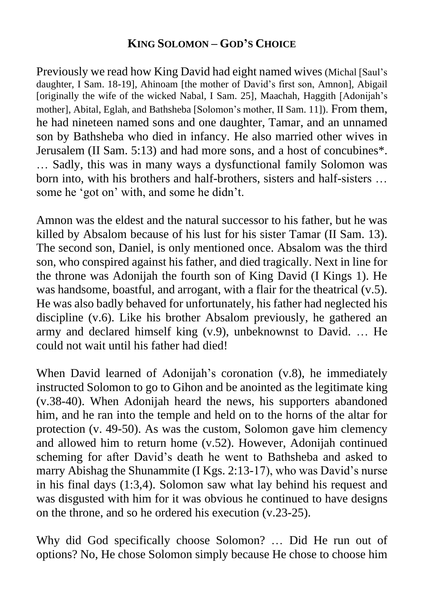## **KING SOLOMON – GOD'S CHOICE**

Previously we read how King David had eight named wives (Michal [Saul's daughter, I Sam. 18-19], Ahinoam [the mother of David's first son, Amnon], Abigail [originally the wife of the wicked Nabal, I Sam. 25], Maachah, Haggith [Adonijah's mother], Abital, Eglah, and Bathsheba [Solomon's mother, II Sam. 11]). From them, he had nineteen named sons and one daughter, Tamar, and an unnamed son by Bathsheba who died in infancy. He also married other wives in Jerusalem (II Sam. 5:13) and had more sons, and a host of concubines\*. … Sadly, this was in many ways a dysfunctional family Solomon was born into, with his brothers and half-brothers, sisters and half-sisters … some he 'got on' with, and some he didn't.

Amnon was the eldest and the natural successor to his father, but he was killed by Absalom because of his lust for his sister Tamar (II Sam. 13). The second son, Daniel, is only mentioned once. Absalom was the third son, who conspired against his father, and died tragically. Next in line for the throne was Adonijah the fourth son of King David (I Kings 1). He was handsome, boastful, and arrogant, with a flair for the theatrical (v.5). He was also badly behaved for unfortunately, his father had neglected his discipline (v.6). Like his brother Absalom previously, he gathered an army and declared himself king (v.9), unbeknownst to David. … He could not wait until his father had died!

When David learned of Adonijah's coronation (v.8), he immediately instructed Solomon to go to Gihon and be anointed as the legitimate king (v.38-40). When Adonijah heard the news, his supporters abandoned him, and he ran into the temple and held on to the horns of the altar for protection (v. 49-50). As was the custom, Solomon gave him clemency and allowed him to return home (v.52). However, Adonijah continued scheming for after David's death he went to Bathsheba and asked to marry Abishag the Shunammite (I Kgs. 2:13-17), who was David's nurse in his final days (1:3,4). Solomon saw what lay behind his request and was disgusted with him for it was obvious he continued to have designs on the throne, and so he ordered his execution (v.23-25).

Why did God specifically choose Solomon? … Did He run out of options? No, He chose Solomon simply because He chose to choose him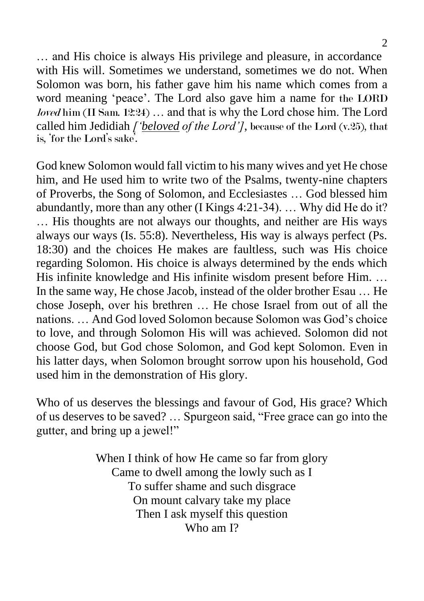… and His choice is always His privilege and pleasure, in accordance with His will. Sometimes we understand, sometimes we do not. When Solomon was born, his father gave him his name which comes from a word meaning 'peace'. The Lord also gave him a name for the LORD loved him (II Sam. 12:24) … and that is why the Lord chose him. The Lord called him Jedidiah *['beloved of the Lord']*, because of the Lord (v.25), that is, 'for the Lord's sake'.

God knew Solomon would fall victim to his many wives and yet He chose him, and He used him to write two of the Psalms, twenty-nine chapters of Proverbs, the Song of Solomon, and Ecclesiastes … God blessed him abundantly, more than any other (I Kings 4:21-34). … Why did He do it? … His thoughts are not always our thoughts, and neither are His ways always our ways (Is. 55:8). Nevertheless, His way is always perfect (Ps. 18:30) and the choices He makes are faultless, such was His choice regarding Solomon. His choice is always determined by the ends which His infinite knowledge and His infinite wisdom present before Him. ... In the same way, He chose Jacob, instead of the older brother Esau … He chose Joseph, over his brethren … He chose Israel from out of all the nations. … And God loved Solomon because Solomon was God's choice to love, and through Solomon His will was achieved. Solomon did not choose God, but God chose Solomon, and God kept Solomon. Even in his latter days, when Solomon brought sorrow upon his household, God used him in the demonstration of His glory.

Who of us deserves the blessings and favour of God, His grace? Which of us deserves to be saved? … Spurgeon said, "Free grace can go into the gutter, and bring up a jewel!"

> When I think of how He came so far from glory Came to dwell among the lowly such as I To suffer shame and such disgrace On mount calvary take my place Then I ask myself this question Who am I?